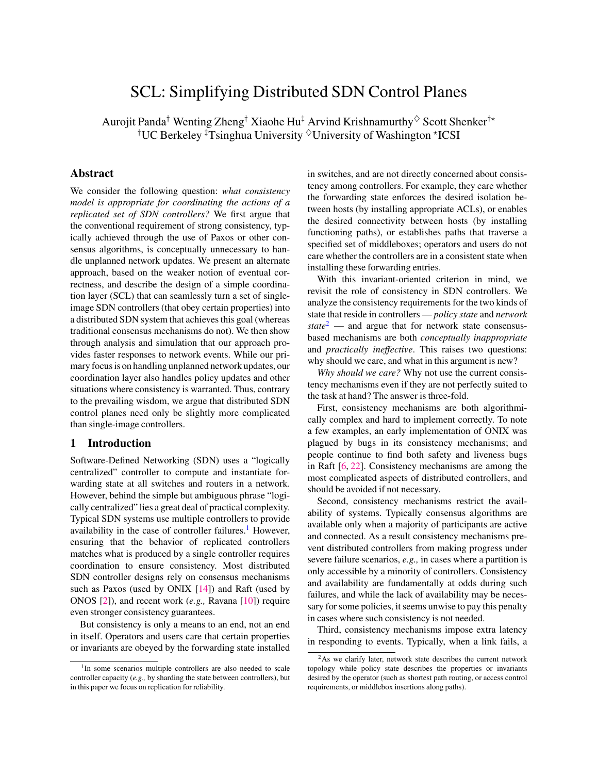# SCL: Simplifying Distributed SDN Control Planes

Aurojit Panda<sup>†</sup> Wenting Zheng<sup>†</sup> Xiaohe Hu<sup>‡</sup> Arvind Krishnamurthy  $\Diamond$  Scott Shenker<sup>†\*</sup>  $^\dagger$ UC Berkeley  $^\ddagger$ Tsinghua University  $^\diamond$ University of Washington \*ICSI

# Abstract

We consider the following question: *what consistency model is appropriate for coordinating the actions of a replicated set of SDN controllers?* We first argue that the conventional requirement of strong consistency, typically achieved through the use of Paxos or other consensus algorithms, is conceptually unnecessary to handle unplanned network updates. We present an alternate approach, based on the weaker notion of eventual correctness, and describe the design of a simple coordination layer (SCL) that can seamlessly turn a set of singleimage SDN controllers (that obey certain properties) into a distributed SDN system that achieves this goal (whereas traditional consensus mechanisms do not). We then show through analysis and simulation that our approach provides faster responses to network events. While our primary focus is on handling unplanned network updates, our coordination layer also handles policy updates and other situations where consistency is warranted. Thus, contrary to the prevailing wisdom, we argue that distributed SDN control planes need only be slightly more complicated than single-image controllers.

# 1 Introduction

Software-Defined Networking (SDN) uses a "logically centralized" controller to compute and instantiate forwarding state at all switches and routers in a network. However, behind the simple but ambiguous phrase "logically centralized" lies a great deal of practical complexity. Typical SDN systems use multiple controllers to provide availability in the case of controller failures.<sup>[1](#page-0-0)</sup> However, ensuring that the behavior of replicated controllers matches what is produced by a single controller requires coordination to ensure consistency. Most distributed SDN controller designs rely on consensus mechanisms such as Paxos (used by ONIX [\[14\]](#page-13-0)) and Raft (used by ONOS [\[2\]](#page-13-1)), and recent work (*e.g.,* Ravana [\[10\]](#page-13-2)) require even stronger consistency guarantees.

But consistency is only a means to an end, not an end in itself. Operators and users care that certain properties or invariants are obeyed by the forwarding state installed in switches, and are not directly concerned about consistency among controllers. For example, they care whether the forwarding state enforces the desired isolation between hosts (by installing appropriate ACLs), or enables the desired connectivity between hosts (by installing functioning paths), or establishes paths that traverse a specified set of middleboxes; operators and users do not care whether the controllers are in a consistent state when installing these forwarding entries.

With this invariant-oriented criterion in mind, we revisit the role of consistency in SDN controllers. We analyze the consistency requirements for the two kinds of state that reside in controllers — *policy state* and *network state*[2](#page-0-1) — and argue that for network state consensusbased mechanisms are both *conceptually inappropriate* and *practically ineffective*. This raises two questions: why should we care, and what in this argument is new?

*Why should we care?* Why not use the current consistency mechanisms even if they are not perfectly suited to the task at hand? The answer is three-fold.

First, consistency mechanisms are both algorithmically complex and hard to implement correctly. To note a few examples, an early implementation of ONIX was plagued by bugs in its consistency mechanisms; and people continue to find both safety and liveness bugs in Raft [\[6,](#page-13-3) [22\]](#page-13-4). Consistency mechanisms are among the most complicated aspects of distributed controllers, and should be avoided if not necessary.

Second, consistency mechanisms restrict the availability of systems. Typically consensus algorithms are available only when a majority of participants are active and connected. As a result consistency mechanisms prevent distributed controllers from making progress under severe failure scenarios, *e.g.,* in cases where a partition is only accessible by a minority of controllers. Consistency and availability are fundamentally at odds during such failures, and while the lack of availability may be necessary for some policies, it seems unwise to pay this penalty in cases where such consistency is not needed.

Third, consistency mechanisms impose extra latency in responding to events. Typically, when a link fails, a

<span id="page-0-0"></span><sup>&</sup>lt;sup>1</sup>In some scenarios multiple controllers are also needed to scale controller capacity (*e.g.,* by sharding the state between controllers), but in this paper we focus on replication for reliability.

<span id="page-0-1"></span><sup>2</sup>As we clarify later, network state describes the current network topology while policy state describes the properties or invariants desired by the operator (such as shortest path routing, or access control requirements, or middlebox insertions along paths).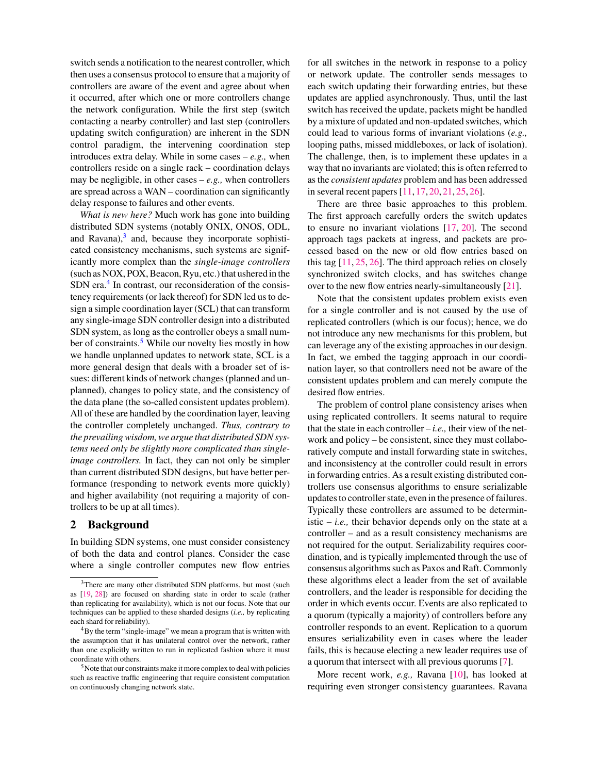switch sends a notification to the nearest controller, which then uses a consensus protocol to ensure that a majority of controllers are aware of the event and agree about when it occurred, after which one or more controllers change the network configuration. While the first step (switch contacting a nearby controller) and last step (controllers updating switch configuration) are inherent in the SDN control paradigm, the intervening coordination step introduces extra delay. While in some cases – *e.g.,* when controllers reside on a single rack – coordination delays may be negligible, in other cases  $-e.g.,$  when controllers are spread across a WAN – coordination can significantly delay response to failures and other events.

*What is new here?* Much work has gone into building distributed SDN systems (notably ONIX, ONOS, ODL, and Ravana),<sup>[3](#page-1-0)</sup> and, because they incorporate sophisticated consistency mechanisms, such systems are significantly more complex than the *single-image controllers* (such as NOX, POX, Beacon, Ryu, etc.) that ushered in the SDN era.<sup>[4](#page-1-1)</sup> In contrast, our reconsideration of the consistency requirements (or lack thereof) for SDN led us to design a simple coordination layer (SCL) that can transform any single-image SDN controller design into a distributed SDN system, as long as the controller obeys a small num-ber of constraints.<sup>[5](#page-1-2)</sup> While our novelty lies mostly in how we handle unplanned updates to network state, SCL is a more general design that deals with a broader set of issues: different kinds of network changes (planned and unplanned), changes to policy state, and the consistency of the data plane (the so-called consistent updates problem). All of these are handled by the coordination layer, leaving the controller completely unchanged. *Thus, contrary to the prevailing wisdom, we argue that distributed SDN systems need only be slightly more complicated than singleimage controllers.* In fact, they can not only be simpler than current distributed SDN designs, but have better performance (responding to network events more quickly) and higher availability (not requiring a majority of controllers to be up at all times).

# 2 Background

In building SDN systems, one must consider consistency of both the data and control planes. Consider the case where a single controller computes new flow entries for all switches in the network in response to a policy or network update. The controller sends messages to each switch updating their forwarding entries, but these updates are applied asynchronously. Thus, until the last switch has received the update, packets might be handled by a mixture of updated and non-updated switches, which could lead to various forms of invariant violations (*e.g.,* looping paths, missed middleboxes, or lack of isolation). The challenge, then, is to implement these updates in a way that no invariants are violated; this is often referred to as the *consistent updates* problem and has been addressed in several recent papers [\[11,](#page-13-7) [17,](#page-13-8) [20,](#page-13-9) [21,](#page-13-10) [25,](#page-13-11) [26\]](#page-13-12).

There are three basic approaches to this problem. The first approach carefully orders the switch updates to ensure no invariant violations [\[17,](#page-13-8) [20\]](#page-13-9). The second approach tags packets at ingress, and packets are processed based on the new or old flow entries based on this tag [\[11,](#page-13-7) [25,](#page-13-11) [26\]](#page-13-12). The third approach relies on closely synchronized switch clocks, and has switches change over to the new flow entries nearly-simultaneously [\[21\]](#page-13-10).

Note that the consistent updates problem exists even for a single controller and is not caused by the use of replicated controllers (which is our focus); hence, we do not introduce any new mechanisms for this problem, but can leverage any of the existing approaches in our design. In fact, we embed the tagging approach in our coordination layer, so that controllers need not be aware of the consistent updates problem and can merely compute the desired flow entries.

The problem of control plane consistency arises when using replicated controllers. It seems natural to require that the state in each controller  $-i.e.,$  their view of the network and policy – be consistent, since they must collaboratively compute and install forwarding state in switches, and inconsistency at the controller could result in errors in forwarding entries. As a result existing distributed controllers use consensus algorithms to ensure serializable updates to controller state, even in the presence of failures. Typically these controllers are assumed to be deterministic  $- i.e.,$  their behavior depends only on the state at a controller – and as a result consistency mechanisms are not required for the output. Serializability requires coordination, and is typically implemented through the use of consensus algorithms such as Paxos and Raft. Commonly these algorithms elect a leader from the set of available controllers, and the leader is responsible for deciding the order in which events occur. Events are also replicated to a quorum (typically a majority) of controllers before any controller responds to an event. Replication to a quorum ensures serializability even in cases where the leader fails, this is because electing a new leader requires use of a quorum that intersect with all previous quorums [\[7\]](#page-13-13).

More recent work, *e.g.,* Ravana [\[10\]](#page-13-2), has looked at requiring even stronger consistency guarantees. Ravana

<span id="page-1-0"></span> $3$ There are many other distributed SDN platforms, but most (such as [\[19,](#page-13-5) [28\]](#page-13-6)) are focused on sharding state in order to scale (rather than replicating for availability), which is not our focus. Note that our techniques can be applied to these sharded designs (*i.e.,* by replicating each shard for reliability).

<span id="page-1-1"></span><sup>4</sup>By the term "single-image" we mean a program that is written with the assumption that it has unilateral control over the network, rather than one explicitly written to run in replicated fashion where it must coordinate with others.

<span id="page-1-2"></span><sup>5</sup>Note that our constraints make it more complex to deal with policies such as reactive traffic engineering that require consistent computation on continuously changing network state.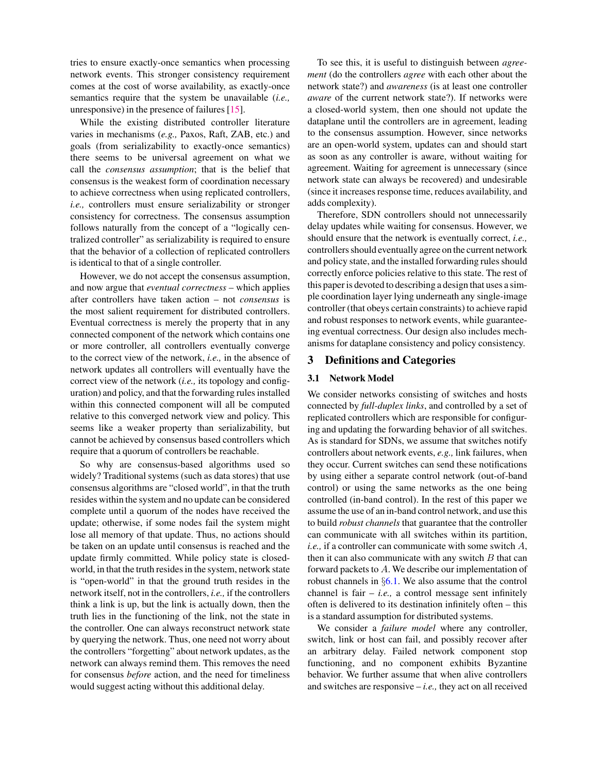tries to ensure exactly-once semantics when processing network events. This stronger consistency requirement comes at the cost of worse availability, as exactly-once semantics require that the system be unavailable (*i.e.,* unresponsive) in the presence of failures [\[15\]](#page-13-14).

While the existing distributed controller literature varies in mechanisms (*e.g.,* Paxos, Raft, ZAB, etc.) and goals (from serializability to exactly-once semantics) there seems to be universal agreement on what we call the *consensus assumption*; that is the belief that consensus is the weakest form of coordination necessary to achieve correctness when using replicated controllers, *i.e.,* controllers must ensure serializability or stronger consistency for correctness. The consensus assumption follows naturally from the concept of a "logically centralized controller" as serializability is required to ensure that the behavior of a collection of replicated controllers is identical to that of a single controller.

However, we do not accept the consensus assumption, and now argue that *eventual correctness* – which applies after controllers have taken action – not *consensus* is the most salient requirement for distributed controllers. Eventual correctness is merely the property that in any connected component of the network which contains one or more controller, all controllers eventually converge to the correct view of the network, *i.e.,* in the absence of network updates all controllers will eventually have the correct view of the network (*i.e.,* its topology and configuration) and policy, and that the forwarding rules installed within this connected component will all be computed relative to this converged network view and policy. This seems like a weaker property than serializability, but cannot be achieved by consensus based controllers which require that a quorum of controllers be reachable.

So why are consensus-based algorithms used so widely? Traditional systems (such as data stores) that use consensus algorithms are "closed world", in that the truth resides within the system and no update can be considered complete until a quorum of the nodes have received the update; otherwise, if some nodes fail the system might lose all memory of that update. Thus, no actions should be taken on an update until consensus is reached and the update firmly committed. While policy state is closedworld, in that the truth resides in the system, network state is "open-world" in that the ground truth resides in the network itself, not in the controllers, *i.e.,* if the controllers think a link is up, but the link is actually down, then the truth lies in the functioning of the link, not the state in the controller. One can always reconstruct network state by querying the network. Thus, one need not worry about the controllers "forgetting" about network updates, as the network can always remind them. This removes the need for consensus *before* action, and the need for timeliness would suggest acting without this additional delay.

To see this, it is useful to distinguish between *agreement* (do the controllers *agree* with each other about the network state?) and *awareness* (is at least one controller *aware* of the current network state?). If networks were a closed-world system, then one should not update the dataplane until the controllers are in agreement, leading to the consensus assumption. However, since networks are an open-world system, updates can and should start as soon as any controller is aware, without waiting for agreement. Waiting for agreement is unnecessary (since network state can always be recovered) and undesirable (since it increases response time, reduces availability, and adds complexity).

Therefore, SDN controllers should not unnecessarily delay updates while waiting for consensus. However, we should ensure that the network is eventually correct, *i.e.,* controllers should eventually agree on the current network and policy state, and the installed forwarding rules should correctly enforce policies relative to this state. The rest of this paper is devoted to describing a design that uses a simple coordination layer lying underneath any single-image controller (that obeys certain constraints) to achieve rapid and robust responses to network events, while guaranteeing eventual correctness. Our design also includes mechanisms for dataplane consistency and policy consistency.

# 3 Definitions and Categories

#### 3.1 Network Model

We consider networks consisting of switches and hosts connected by *full-duplex links*, and controlled by a set of replicated controllers which are responsible for configuring and updating the forwarding behavior of all switches. As is standard for SDNs, we assume that switches notify controllers about network events, *e.g.,* link failures, when they occur. Current switches can send these notifications by using either a separate control network (out-of-band control) or using the same networks as the one being controlled (in-band control). In the rest of this paper we assume the use of an in-band control network, and use this to build *robust channels* that guarantee that the controller can communicate with all switches within its partition, *i.e.,* if a controller can communicate with some switch A, then it can also communicate with any switch  $B$  that can forward packets to A. We describe our implementation of robust channels in §[6.1.](#page-7-0) We also assume that the control channel is fair  $-$  *i.e.*, a control message sent infinitely often is delivered to its destination infinitely often – this is a standard assumption for distributed systems.

We consider a *failure model* where any controller, switch, link or host can fail, and possibly recover after an arbitrary delay. Failed network component stop functioning, and no component exhibits Byzantine behavior. We further assume that when alive controllers and switches are responsive – *i.e.,* they act on all received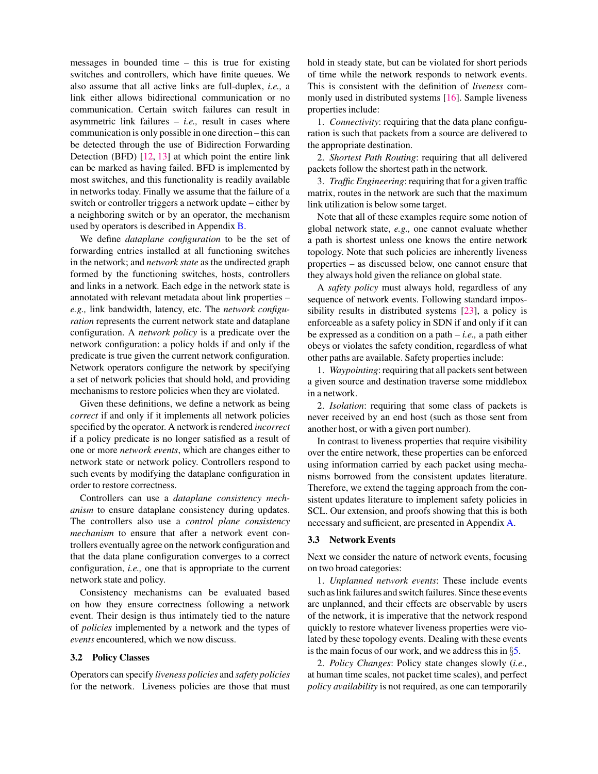messages in bounded time – this is true for existing switches and controllers, which have finite queues. We also assume that all active links are full-duplex, *i.e.,* a link either allows bidirectional communication or no communication. Certain switch failures can result in asymmetric link failures  $-$  *i.e.*, result in cases where communication is only possible in one direction – this can be detected through the use of Bidirection Forwarding Detection (BFD) [\[12,](#page-13-15) [13\]](#page-13-16) at which point the entire link can be marked as having failed. BFD is implemented by most switches, and this functionality is readily available in networks today. Finally we assume that the failure of a switch or controller triggers a network update – either by a neighboring switch or by an operator, the mechanism used by operators is described in Appendix [B.](#page-15-0)

We define *dataplane configuration* to be the set of forwarding entries installed at all functioning switches in the network; and *network state* as the undirected graph formed by the functioning switches, hosts, controllers and links in a network. Each edge in the network state is annotated with relevant metadata about link properties – *e.g.,* link bandwidth, latency, etc. The *network configuration* represents the current network state and dataplane configuration. A *network policy* is a predicate over the network configuration: a policy holds if and only if the predicate is true given the current network configuration. Network operators configure the network by specifying a set of network policies that should hold, and providing mechanisms to restore policies when they are violated.

Given these definitions, we define a network as being *correct* if and only if it implements all network policies specified by the operator. A network is rendered *incorrect* if a policy predicate is no longer satisfied as a result of one or more *network events*, which are changes either to network state or network policy. Controllers respond to such events by modifying the dataplane configuration in order to restore correctness.

Controllers can use a *dataplane consistency mechanism* to ensure dataplane consistency during updates. The controllers also use a *control plane consistency mechanism* to ensure that after a network event controllers eventually agree on the network configuration and that the data plane configuration converges to a correct configuration, *i.e.,* one that is appropriate to the current network state and policy.

Consistency mechanisms can be evaluated based on how they ensure correctness following a network event. Their design is thus intimately tied to the nature of *policies* implemented by a network and the types of *events* encountered, which we now discuss.

#### <span id="page-3-0"></span>3.2 Policy Classes

Operators can specify *liveness policies* and *safety policies* for the network. Liveness policies are those that must hold in steady state, but can be violated for short periods of time while the network responds to network events. This is consistent with the definition of *liveness* commonly used in distributed systems [\[16\]](#page-13-17). Sample liveness properties include:

1. *Connectivity*: requiring that the data plane configuration is such that packets from a source are delivered to the appropriate destination.

2. *Shortest Path Routing*: requiring that all delivered packets follow the shortest path in the network.

3. *Traffic Engineering*: requiring that for a given traffic matrix, routes in the network are such that the maximum link utilization is below some target.

Note that all of these examples require some notion of global network state, *e.g.,* one cannot evaluate whether a path is shortest unless one knows the entire network topology. Note that such policies are inherently liveness properties – as discussed below, one cannot ensure that they always hold given the reliance on global state.

A *safety policy* must always hold, regardless of any sequence of network events. Following standard impossibility results in distributed systems [\[23\]](#page-13-18), a policy is enforceable as a safety policy in SDN if and only if it can be expressed as a condition on a path – *i.e.,* a path either obeys or violates the safety condition, regardless of what other paths are available. Safety properties include:

1. *Waypointing*: requiring that all packets sent between a given source and destination traverse some middlebox in a network.

2. *Isolation*: requiring that some class of packets is never received by an end host (such as those sent from another host, or with a given port number).

In contrast to liveness properties that require visibility over the entire network, these properties can be enforced using information carried by each packet using mechanisms borrowed from the consistent updates literature. Therefore, we extend the tagging approach from the consistent updates literature to implement safety policies in SCL. Our extension, and proofs showing that this is both necessary and sufficient, are presented in Appendix [A.](#page-14-0)

### 3.3 Network Events

Next we consider the nature of network events, focusing on two broad categories:

1. *Unplanned network events*: These include events such as link failures and switch failures. Since these events are unplanned, and their effects are observable by users of the network, it is imperative that the network respond quickly to restore whatever liveness properties were violated by these topology events. Dealing with these events is the main focus of our work, and we address this in §[5.](#page-6-0)

2. *Policy Changes*: Policy state changes slowly (*i.e.,* at human time scales, not packet time scales), and perfect *policy availability* is not required, as one can temporarily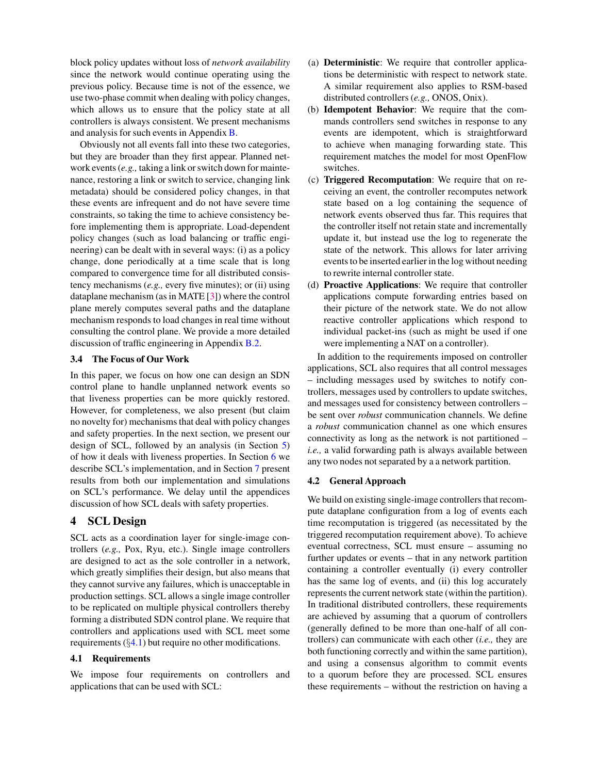block policy updates without loss of *network availability* since the network would continue operating using the previous policy. Because time is not of the essence, we use two-phase commit when dealing with policy changes, which allows us to ensure that the policy state at all controllers is always consistent. We present mechanisms and analysis for such events in Appendix [B.](#page-15-0)

Obviously not all events fall into these two categories, but they are broader than they first appear. Planned network events (*e.g.,* taking a link or switch down for maintenance, restoring a link or switch to service, changing link metadata) should be considered policy changes, in that these events are infrequent and do not have severe time constraints, so taking the time to achieve consistency before implementing them is appropriate. Load-dependent policy changes (such as load balancing or traffic engineering) can be dealt with in several ways: (i) as a policy change, done periodically at a time scale that is long compared to convergence time for all distributed consistency mechanisms (*e.g.,* every five minutes); or (ii) using dataplane mechanism (as in MATE [\[3\]](#page-13-19)) where the control plane merely computes several paths and the dataplane mechanism responds to load changes in real time without consulting the control plane. We provide a more detailed discussion of traffic engineering in Appendix [B.2.](#page-16-0)

# 3.4 The Focus of Our Work

In this paper, we focus on how one can design an SDN control plane to handle unplanned network events so that liveness properties can be more quickly restored. However, for completeness, we also present (but claim no novelty for) mechanisms that deal with policy changes and safety properties. In the next section, we present our design of SCL, followed by an analysis (in Section [5\)](#page-6-0) of how it deals with liveness properties. In Section [6](#page-7-1) we describe SCL's implementation, and in Section [7](#page-9-0) present results from both our implementation and simulations on SCL's performance. We delay until the appendices discussion of how SCL deals with safety properties.

# 4 SCL Design

SCL acts as a coordination layer for single-image controllers (*e.g.,* Pox, Ryu, etc.). Single image controllers are designed to act as the sole controller in a network, which greatly simplifies their design, but also means that they cannot survive any failures, which is unacceptable in production settings. SCL allows a single image controller to be replicated on multiple physical controllers thereby forming a distributed SDN control plane. We require that controllers and applications used with SCL meet some requirements  $(\S 4.1)$  $(\S 4.1)$  but require no other modifications.

### <span id="page-4-0"></span>4.1 Requirements

We impose four requirements on controllers and applications that can be used with SCL:

- (a) Deterministic: We require that controller applications be deterministic with respect to network state. A similar requirement also applies to RSM-based distributed controllers (*e.g.,* ONOS, Onix).
- (b) Idempotent Behavior: We require that the commands controllers send switches in response to any events are idempotent, which is straightforward to achieve when managing forwarding state. This requirement matches the model for most OpenFlow switches.
- (c) Triggered Recomputation: We require that on receiving an event, the controller recomputes network state based on a log containing the sequence of network events observed thus far. This requires that the controller itself not retain state and incrementally update it, but instead use the log to regenerate the state of the network. This allows for later arriving events to be inserted earlier in the log without needing to rewrite internal controller state.
- (d) Proactive Applications: We require that controller applications compute forwarding entries based on their picture of the network state. We do not allow reactive controller applications which respond to individual packet-ins (such as might be used if one were implementing a NAT on a controller).

In addition to the requirements imposed on controller applications, SCL also requires that all control messages – including messages used by switches to notify controllers, messages used by controllers to update switches, and messages used for consistency between controllers – be sent over *robust* communication channels. We define a *robust* communication channel as one which ensures connectivity as long as the network is not partitioned – *i.e.,* a valid forwarding path is always available between any two nodes not separated by a a network partition.

#### <span id="page-4-1"></span>4.2 General Approach

We build on existing single-image controllers that recompute dataplane configuration from a log of events each time recomputation is triggered (as necessitated by the triggered recomputation requirement above). To achieve eventual correctness, SCL must ensure – assuming no further updates or events – that in any network partition containing a controller eventually (i) every controller has the same log of events, and (ii) this log accurately represents the current network state (within the partition). In traditional distributed controllers, these requirements are achieved by assuming that a quorum of controllers (generally defined to be more than one-half of all controllers) can communicate with each other (*i.e.,* they are both functioning correctly and within the same partition), and using a consensus algorithm to commit events to a quorum before they are processed. SCL ensures these requirements – without the restriction on having a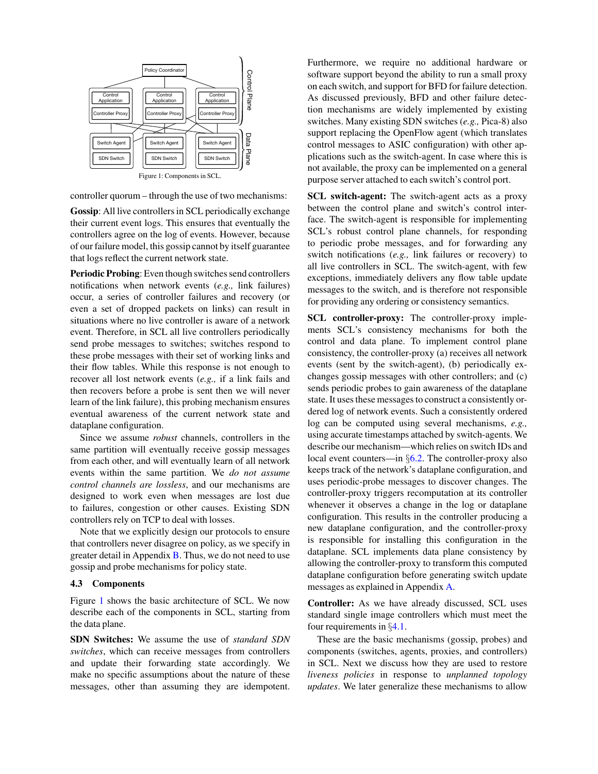<span id="page-5-0"></span>

controller quorum – through the use of two mechanisms:

Gossip: All live controllers in SCL periodically exchange their current event logs. This ensures that eventually the controllers agree on the log of events. However, because of our failure model, this gossip cannot by itself guarantee that logs reflect the current network state.

Periodic Probing: Even though switches send controllers notifications when network events (*e.g.,* link failures) occur, a series of controller failures and recovery (or even a set of dropped packets on links) can result in situations where no live controller is aware of a network event. Therefore, in SCL all live controllers periodically send probe messages to switches; switches respond to these probe messages with their set of working links and their flow tables. While this response is not enough to recover all lost network events (*e.g.,* if a link fails and then recovers before a probe is sent then we will never learn of the link failure), this probing mechanism ensures eventual awareness of the current network state and dataplane configuration.

Since we assume *robust* channels, controllers in the same partition will eventually receive gossip messages from each other, and will eventually learn of all network events within the same partition. We *do not assume control channels are lossless*, and our mechanisms are designed to work even when messages are lost due to failures, congestion or other causes. Existing SDN controllers rely on TCP to deal with losses.

Note that we explicitly design our protocols to ensure that controllers never disagree on policy, as we specify in greater detail in Appendix  $\overline{B}$ . Thus, we do not need to use gossip and probe mechanisms for policy state.

#### 4.3 Components

Figure [1](#page-5-0) shows the basic architecture of SCL. We now describe each of the components in SCL, starting from the data plane.

SDN Switches: We assume the use of *standard SDN switches*, which can receive messages from controllers and update their forwarding state accordingly. We make no specific assumptions about the nature of these messages, other than assuming they are idempotent. Furthermore, we require no additional hardware or software support beyond the ability to run a small proxy on each switch, and support for BFD for failure detection. As discussed previously, BFD and other failure detection mechanisms are widely implemented by existing switches. Many existing SDN switches (*e.g.,* Pica-8) also support replacing the OpenFlow agent (which translates control messages to ASIC configuration) with other applications such as the switch-agent. In case where this is not available, the proxy can be implemented on a general purpose server attached to each switch's control port.

SCL switch-agent: The switch-agent acts as a proxy between the control plane and switch's control interface. The switch-agent is responsible for implementing SCL's robust control plane channels, for responding to periodic probe messages, and for forwarding any switch notifications (*e.g.,* link failures or recovery) to all live controllers in SCL. The switch-agent, with few exceptions, immediately delivers any flow table update messages to the switch, and is therefore not responsible for providing any ordering or consistency semantics.

SCL controller-proxy: The controller-proxy implements SCL's consistency mechanisms for both the control and data plane. To implement control plane consistency, the controller-proxy (a) receives all network events (sent by the switch-agent), (b) periodically exchanges gossip messages with other controllers; and (c) sends periodic probes to gain awareness of the dataplane state. It uses these messages to construct a consistently ordered log of network events. Such a consistently ordered log can be computed using several mechanisms, *e.g.,* using accurate timestamps attached by switch-agents. We describe our mechanism—which relies on switch IDs and local event counters—in §[6.2.](#page-8-0) The controller-proxy also keeps track of the network's dataplane configuration, and uses periodic-probe messages to discover changes. The controller-proxy triggers recomputation at its controller whenever it observes a change in the log or dataplane configuration. This results in the controller producing a new dataplane configuration, and the controller-proxy is responsible for installing this configuration in the dataplane. SCL implements data plane consistency by allowing the controller-proxy to transform this computed dataplane configuration before generating switch update messages as explained in Appendix [A.](#page-14-0)

Controller: As we have already discussed, SCL uses standard single image controllers which must meet the four requirements in §[4.1.](#page-4-0)

These are the basic mechanisms (gossip, probes) and components (switches, agents, proxies, and controllers) in SCL. Next we discuss how they are used to restore *liveness policies* in response to *unplanned topology updates*. We later generalize these mechanisms to allow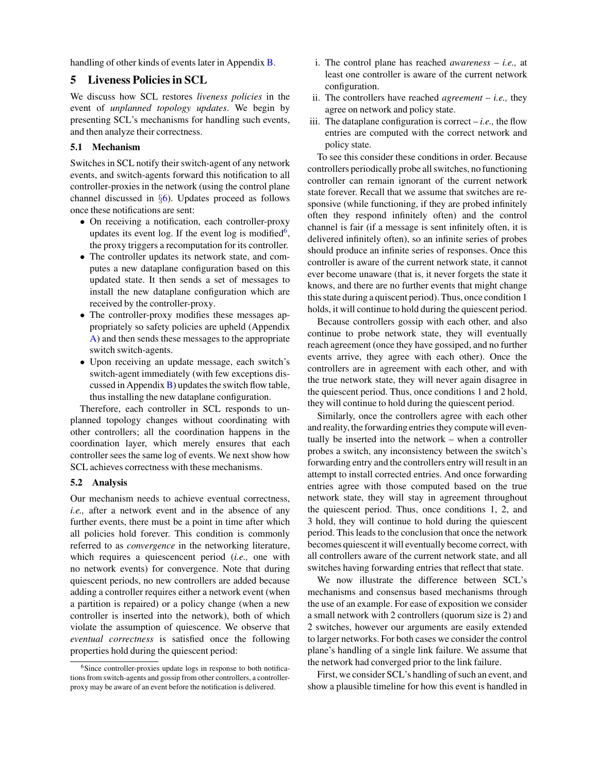handling of other kinds of events later in Appendix [B.](#page-15-0)

# <span id="page-6-0"></span>5 Liveness Policies in SCL

We discuss how SCL restores *liveness policies* in the event of *unplanned topology updates*. We begin by presenting SCL's mechanisms for handling such events, and then analyze their correctness.

# 5.1 Mechanism

Switches in SCL notify their switch-agent of any network events, and switch-agents forward this notification to all controller-proxies in the network (using the control plane channel discussed in §[6\)](#page-7-1). Updates proceed as follows once these notifications are sent:

- On receiving a notification, each controller-proxy updates its event log. If the event log is modified<sup>[6](#page-6-1)</sup>, the proxy triggers a recomputation for its controller.
- The controller updates its network state, and computes a new dataplane configuration based on this updated state. It then sends a set of messages to install the new dataplane configuration which are received by the controller-proxy.
- The controller-proxy modifies these messages appropriately so safety policies are upheld (Appendix [A\)](#page-14-0) and then sends these messages to the appropriate switch switch-agents.
- Upon receiving an update message, each switch's switch-agent immediately (with few exceptions discussed in Appendix  $\bf{B}$ ) updates the switch flow table, thus installing the new dataplane configuration.

Therefore, each controller in SCL responds to unplanned topology changes without coordinating with other controllers; all the coordination happens in the coordination layer, which merely ensures that each controller sees the same log of events. We next show how SCL achieves correctness with these mechanisms.

# 5.2 Analysis

Our mechanism needs to achieve eventual correctness, *i.e.,* after a network event and in the absence of any further events, there must be a point in time after which all policies hold forever. This condition is commonly referred to as *convergence* in the networking literature, which requires a quiescencent period (*i.e.,* one with no network events) for convergence. Note that during quiescent periods, no new controllers are added because adding a controller requires either a network event (when a partition is repaired) or a policy change (when a new controller is inserted into the network), both of which violate the assumption of quiescence. We observe that *eventual correctness* is satisfied once the following properties hold during the quiescent period:

- i. The control plane has reached *awareness i.e.,* at least one controller is aware of the current network configuration.
- ii. The controllers have reached *agreement i.e.,* they agree on network and policy state.
- iii. The dataplane configuration is correct  $-i.e.,$  the flow entries are computed with the correct network and policy state.

To see this consider these conditions in order. Because controllers periodically probe all switches, no functioning controller can remain ignorant of the current network state forever. Recall that we assume that switches are responsive (while functioning, if they are probed infinitely often they respond infinitely often) and the control channel is fair (if a message is sent infinitely often, it is delivered infinitely often), so an infinite series of probes should produce an infinite series of responses. Once this controller is aware of the current network state, it cannot ever become unaware (that is, it never forgets the state it knows, and there are no further events that might change this state during a quiscent period). Thus, once condition 1 holds, it will continue to hold during the quiescent period.

Because controllers gossip with each other, and also continue to probe network state, they will eventually reach agreement (once they have gossiped, and no further events arrive, they agree with each other). Once the controllers are in agreement with each other, and with the true network state, they will never again disagree in the quiescent period. Thus, once conditions 1 and 2 hold, they will continue to hold during the quiescent period.

Similarly, once the controllers agree with each other and reality, the forwarding entries they compute will eventually be inserted into the network – when a controller probes a switch, any inconsistency between the switch's forwarding entry and the controllers entry will result in an attempt to install corrected entries. And once forwarding entries agree with those computed based on the true network state, they will stay in agreement throughout the quiescent period. Thus, once conditions 1, 2, and 3 hold, they will continue to hold during the quiescent period. This leads to the conclusion that once the network becomes quiescent it will eventually become correct, with all controllers aware of the current network state, and all switches having forwarding entries that reflect that state.

We now illustrate the difference between SCL's mechanisms and consensus based mechanisms through the use of an example. For ease of exposition we consider a small network with 2 controllers (quorum size is 2) and 2 switches, however our arguments are easily extended to larger networks. For both cases we consider the control plane's handling of a single link failure. We assume that the network had converged prior to the link failure.

First, we consider SCL's handling of such an event, and show a plausible timeline for how this event is handled in

<span id="page-6-1"></span><sup>&</sup>lt;sup>6</sup>Since controller-proxies update logs in response to both notifications from switch-agents and gossip from other controllers, a controllerproxy may be aware of an event before the notification is delivered.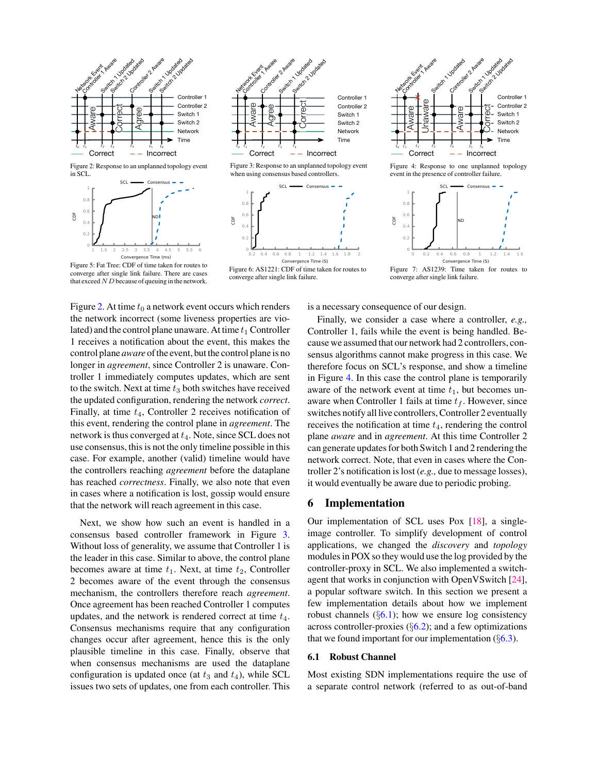<span id="page-7-2"></span>

<span id="page-7-3"></span>







Figure 5: Fat Tree: CDF of time taken for routes to converge after single link failure. There are cases that exceed  $ND$  because of queuing in the network.

Figure [2.](#page-7-2) At time  $t_0$  a network event occurs which renders the network incorrect (some liveness properties are violated) and the control plane unaware. At time  $t_1$  Controller 1 receives a notification about the event, this makes the control plane *aware* of the event, but the control plane is no longer in *agreement*, since Controller 2 is unaware. Controller 1 immediately computes updates, which are sent to the switch. Next at time  $t_3$  both switches have received the updated configuration, rendering the network *correct*. Finally, at time  $t_4$ , Controller 2 receives notification of this event, rendering the control plane in *agreement*. The network is thus converged at  $t_4$ . Note, since SCL does not use consensus, this is not the only timeline possible in this case. For example, another (valid) timeline would have the controllers reaching *agreement* before the dataplane has reached *correctness*. Finally, we also note that even in cases where a notification is lost, gossip would ensure that the network will reach agreement in this case.

Next, we show how such an event is handled in a consensus based controller framework in Figure [3.](#page-7-2) Without loss of generality, we assume that Controller 1 is the leader in this case. Similar to above, the control plane becomes aware at time  $t_1$ . Next, at time  $t_2$ , Controller 2 becomes aware of the event through the consensus mechanism, the controllers therefore reach *agreement*. Once agreement has been reached Controller 1 computes updates, and the network is rendered correct at time  $t_4$ . Consensus mechanisms require that any configuration changes occur after agreement, hence this is the only plausible timeline in this case. Finally, observe that when consensus mechanisms are used the dataplane configuration is updated once (at  $t_3$  and  $t_4$ ), while SCL issues two sets of updates, one from each controller. This



Figure 4: Response to one unplanned topology event in the presence of controller failure.



converge after single link failure.

is a necessary consequence of our design.

Finally, we consider a case where a controller, *e.g.,* Controller 1, fails while the event is being handled. Because we assumed that our network had 2 controllers, consensus algorithms cannot make progress in this case. We therefore focus on SCL's response, and show a timeline in Figure [4.](#page-7-2) In this case the control plane is temporarily aware of the network event at time  $t_1$ , but becomes unaware when Controller 1 fails at time  $t_f$ . However, since switches notify all live controllers, Controller 2 eventually receives the notification at time  $t_4$ , rendering the control plane *aware* and in *agreement*. At this time Controller 2 can generate updates for both Switch 1 and 2 rendering the network correct. Note, that even in cases where the Controller 2's notification is lost (*e.g.,* due to message losses), it would eventually be aware due to periodic probing.

# <span id="page-7-1"></span>6 Implementation

Our implementation of SCL uses Pox [\[18\]](#page-13-20), a singleimage controller. To simplify development of control applications, we changed the *discovery* and *topology* modules in POX so they would use the log provided by the controller-proxy in SCL. We also implemented a switchagent that works in conjunction with OpenVSwitch [\[24\]](#page-13-21), a popular software switch. In this section we present a few implementation details about how we implement robust channels  $(\S6.1)$  $(\S6.1)$ ; how we ensure log consistency across controller-proxies  $(\S6.2)$  $(\S6.2)$ ; and a few optimizations that we found important for our implementation  $(\S6.3)$  $(\S6.3)$ .

#### <span id="page-7-0"></span>6.1 Robust Channel

Most existing SDN implementations require the use of a separate control network (referred to as out-of-band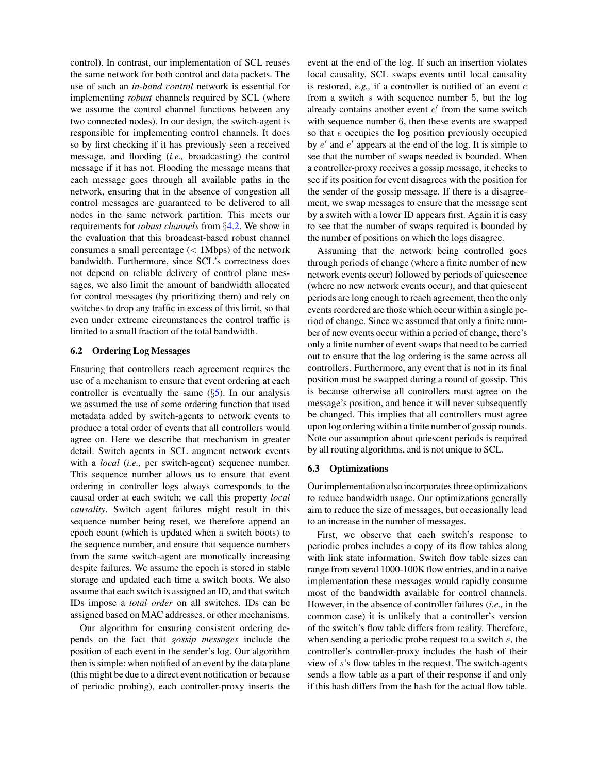control). In contrast, our implementation of SCL reuses the same network for both control and data packets. The use of such an *in-band control* network is essential for implementing *robust* channels required by SCL (where we assume the control channel functions between any two connected nodes). In our design, the switch-agent is responsible for implementing control channels. It does so by first checking if it has previously seen a received message, and flooding (*i.e.,* broadcasting) the control message if it has not. Flooding the message means that each message goes through all available paths in the network, ensuring that in the absence of congestion all control messages are guaranteed to be delivered to all nodes in the same network partition. This meets our requirements for *robust channels* from §[4.2.](#page-4-1) We show in the evaluation that this broadcast-based robust channel consumes a small percentage  $(< 1$ Mbps) of the network bandwidth. Furthermore, since SCL's correctness does not depend on reliable delivery of control plane messages, we also limit the amount of bandwidth allocated for control messages (by prioritizing them) and rely on switches to drop any traffic in excess of this limit, so that even under extreme circumstances the control traffic is limited to a small fraction of the total bandwidth.

### <span id="page-8-0"></span>6.2 Ordering Log Messages

Ensuring that controllers reach agreement requires the use of a mechanism to ensure that event ordering at each controller is eventually the same  $(\S 5)$  $(\S 5)$ . In our analysis we assumed the use of some ordering function that used metadata added by switch-agents to network events to produce a total order of events that all controllers would agree on. Here we describe that mechanism in greater detail. Switch agents in SCL augment network events with a *local* (*i.e.,* per switch-agent) sequence number. This sequence number allows us to ensure that event ordering in controller logs always corresponds to the causal order at each switch; we call this property *local causality*. Switch agent failures might result in this sequence number being reset, we therefore append an epoch count (which is updated when a switch boots) to the sequence number, and ensure that sequence numbers from the same switch-agent are monotically increasing despite failures. We assume the epoch is stored in stable storage and updated each time a switch boots. We also assume that each switch is assigned an ID, and that switch IDs impose a *total order* on all switches. IDs can be assigned based on MAC addresses, or other mechanisms.

Our algorithm for ensuring consistent ordering depends on the fact that *gossip messages* include the position of each event in the sender's log. Our algorithm then is simple: when notified of an event by the data plane (this might be due to a direct event notification or because of periodic probing), each controller-proxy inserts the event at the end of the log. If such an insertion violates local causality, SCL swaps events until local causality is restored, *e.g.,* if a controller is notified of an event e from a switch s with sequence number 5, but the log already contains another event  $e'$  from the same switch with sequence number 6, then these events are swapped so that e occupies the log position previously occupied by  $e'$  and  $e'$  appears at the end of the log. It is simple to see that the number of swaps needed is bounded. When a controller-proxy receives a gossip message, it checks to see if its position for event disagrees with the position for the sender of the gossip message. If there is a disagreement, we swap messages to ensure that the message sent by a switch with a lower ID appears first. Again it is easy to see that the number of swaps required is bounded by the number of positions on which the logs disagree.

Assuming that the network being controlled goes through periods of change (where a finite number of new network events occur) followed by periods of quiescence (where no new network events occur), and that quiescent periods are long enough to reach agreement, then the only events reordered are those which occur within a single period of change. Since we assumed that only a finite number of new events occur within a period of change, there's only a finite number of event swaps that need to be carried out to ensure that the log ordering is the same across all controllers. Furthermore, any event that is not in its final position must be swapped during a round of gossip. This is because otherwise all controllers must agree on the message's position, and hence it will never subsequently be changed. This implies that all controllers must agree upon log ordering within a finite number of gossip rounds. Note our assumption about quiescent periods is required by all routing algorithms, and is not unique to SCL.

#### <span id="page-8-1"></span>6.3 Optimizations

Our implementation also incorporates three optimizations to reduce bandwidth usage. Our optimizations generally aim to reduce the size of messages, but occasionally lead to an increase in the number of messages.

First, we observe that each switch's response to periodic probes includes a copy of its flow tables along with link state information. Switch flow table sizes can range from several 1000-100K flow entries, and in a naive implementation these messages would rapidly consume most of the bandwidth available for control channels. However, in the absence of controller failures (*i.e.,* in the common case) it is unlikely that a controller's version of the switch's flow table differs from reality. Therefore, when sending a periodic probe request to a switch s, the controller's controller-proxy includes the hash of their view of s's flow tables in the request. The switch-agents sends a flow table as a part of their response if and only if this hash differs from the hash for the actual flow table.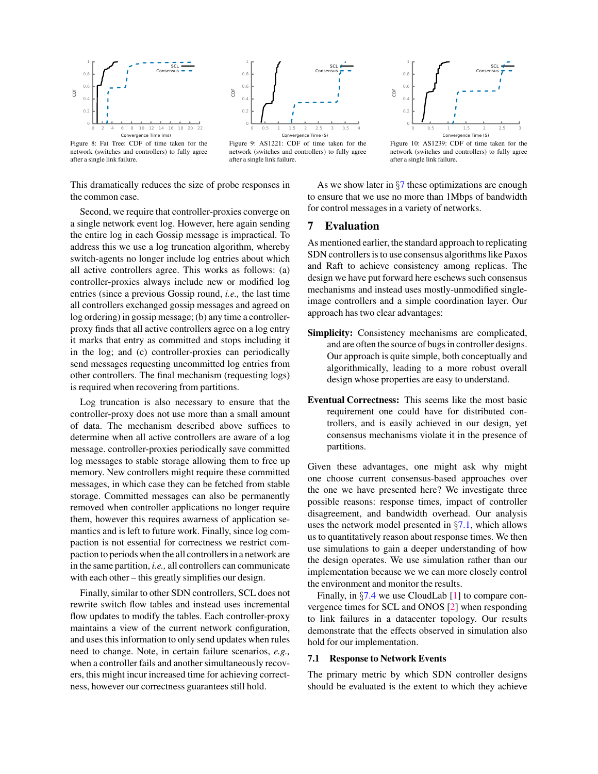<span id="page-9-2"></span>

Figure 8: Fat Tree: CDF of time taken for the network (switches and controllers) to fully agree after a single link failure.

 0 0.2 0.4  $0.6$  $\overline{0}$  1 0 0.5 1 1.5 2 2.5 3 3.5 4 **P** Convergence Time (S) SCL Consensus

Figure 9: AS1221: CDF of time taken for the network (switches and controllers) to fully agree after a single link failure.



Figure 10: AS1239: CDF of time taken for the network (switches and controllers) to fully agree after a single link failure.

This dramatically reduces the size of probe responses in the common case.

Second, we require that controller-proxies converge on a single network event log. However, here again sending the entire log in each Gossip message is impractical. To address this we use a log truncation algorithm, whereby switch-agents no longer include log entries about which all active controllers agree. This works as follows: (a) controller-proxies always include new or modified log entries (since a previous Gossip round, *i.e.,* the last time all controllers exchanged gossip messages and agreed on log ordering) in gossip message; (b) any time a controllerproxy finds that all active controllers agree on a log entry it marks that entry as committed and stops including it in the log; and (c) controller-proxies can periodically send messages requesting uncommitted log entries from other controllers. The final mechanism (requesting logs) is required when recovering from partitions.

Log truncation is also necessary to ensure that the controller-proxy does not use more than a small amount of data. The mechanism described above suffices to determine when all active controllers are aware of a log message. controller-proxies periodically save committed log messages to stable storage allowing them to free up memory. New controllers might require these committed messages, in which case they can be fetched from stable storage. Committed messages can also be permanently removed when controller applications no longer require them, however this requires awarness of application semantics and is left to future work. Finally, since log compaction is not essential for correctness we restrict compaction to periods when the all controllers in a network are in the same partition, *i.e.,* all controllers can communicate with each other – this greatly simplifies our design.

Finally, similar to other SDN controllers, SCL does not rewrite switch flow tables and instead uses incremental flow updates to modify the tables. Each controller-proxy maintains a view of the current network configuration, and uses this information to only send updates when rules need to change. Note, in certain failure scenarios, *e.g.,* when a controller fails and another simultaneously recovers, this might incur increased time for achieving correctness, however our correctness guarantees still hold.

As we show later in  $\S7$  $\S7$  these optimizations are enough to ensure that we use no more than 1Mbps of bandwidth for control messages in a variety of networks.

# <span id="page-9-0"></span>7 Evaluation

As mentioned earlier, the standard approach to replicating SDN controllers is to use consensus algorithms like Paxos and Raft to achieve consistency among replicas. The design we have put forward here eschews such consensus mechanisms and instead uses mostly-unmodified singleimage controllers and a simple coordination layer. Our approach has two clear advantages:

- Simplicity: Consistency mechanisms are complicated, and are often the source of bugs in controller designs. Our approach is quite simple, both conceptually and algorithmically, leading to a more robust overall design whose properties are easy to understand.
- Eventual Correctness: This seems like the most basic requirement one could have for distributed controllers, and is easily achieved in our design, yet consensus mechanisms violate it in the presence of partitions.

Given these advantages, one might ask why might one choose current consensus-based approaches over the one we have presented here? We investigate three possible reasons: response times, impact of controller disagreement, and bandwidth overhead. Our analysis uses the network model presented in  $\S$ [7.1,](#page-9-1) which allows us to quantitatively reason about response times. We then use simulations to gain a deeper understanding of how the design operates. We use simulation rather than our implementation because we we can more closely control the environment and monitor the results.

Finally, in  $\S 7.4$  $\S 7.4$  we use CloudLab [\[1\]](#page-13-22) to compare convergence times for SCL and ONOS [\[2\]](#page-13-1) when responding to link failures in a datacenter topology. Our results demonstrate that the effects observed in simulation also hold for our implementation.

#### <span id="page-9-1"></span>7.1 Response to Network Events

The primary metric by which SDN controller designs should be evaluated is the extent to which they achieve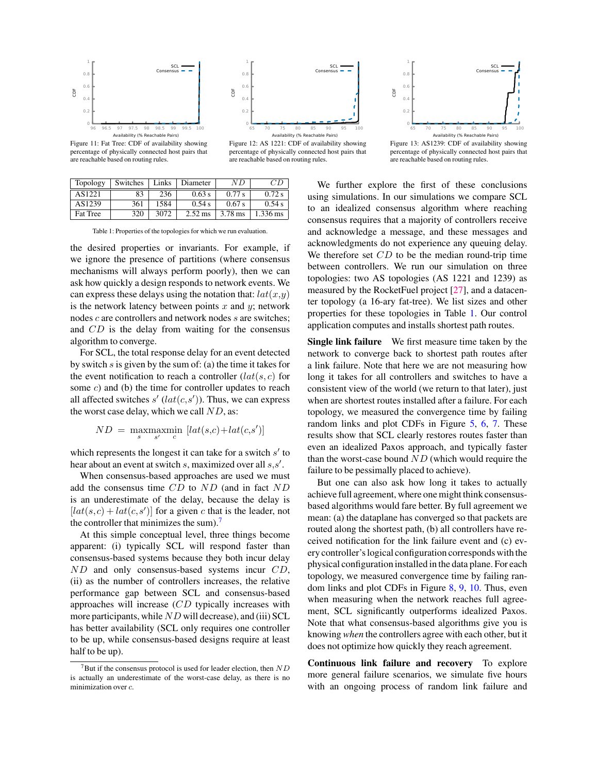<span id="page-10-2"></span>



are reachable based on routing rules.

Figure 11: Fat Tree: CDF of availability showing percentage of physically connected host pairs that are reachable based on routing rules.

<span id="page-10-1"></span>

| Topology        | Switches | Links | Diameter             | N D     |                    |
|-----------------|----------|-------|----------------------|---------|--------------------|
| AS1221          | 83       | 236   | 0.63 s               | 0.77 s  | 0.72 s             |
| AS1239          | 361      | 1584  | 0.54 s               | 0.67 s  | 0.54 s             |
| <b>Fat Tree</b> | 320      | 3072  | $2.52 \,\mathrm{ms}$ | 3.78 ms | $1.336 \text{ ms}$ |

Table 1: Properties of the topologies for which we run evaluation.

the desired properties or invariants. For example, if we ignore the presence of partitions (where consensus mechanisms will always perform poorly), then we can ask how quickly a design responds to network events. We can express these delays using the notation that:  $lat(x,y)$ is the network latency between points  $x$  and  $y$ ; network nodes c are controllers and network nodes s are switches; and CD is the delay from waiting for the consensus algorithm to converge.

For SCL, the total response delay for an event detected by switch  $s$  is given by the sum of: (a) the time it takes for the event notification to reach a controller  $(lat(s, c)$  for some c) and (b) the time for controller updates to reach all affected switches  $s'$  ( $lat(c, s')$ ). Thus, we can express the worst case delay, which we call  $ND$ , as:

$$
ND = \max_{s} \max_{s'} \min_{c} [lat(s,c) + lat(c,s')]
$$

which represents the longest it can take for a switch  $s'$  to hear about an event at switch s, maximized over all  $s, s'$ .

When consensus-based approaches are used we must add the consensus time CD to ND (and in fact ND is an underestimate of the delay, because the delay is  $[lat(s, c) + lat(c, s')]$  for a given c that is the leader, not the controller that minimizes the sum).<sup>[7](#page-10-0)</sup>

At this simple conceptual level, three things become apparent: (i) typically SCL will respond faster than consensus-based systems because they both incur delay ND and only consensus-based systems incur CD, (ii) as the number of controllers increases, the relative performance gap between SCL and consensus-based approaches will increase (CD typically increases with more participants, while  $ND$  will decrease), and (iii) SCL has better availability (SCL only requires one controller to be up, while consensus-based designs require at least half to be up).



Figure 13: AS1239: CDF of availability showing percentage of physically connected host pairs that are reachable based on routing rules.

We further explore the first of these conclusions using simulations. In our simulations we compare SCL to an idealized consensus algorithm where reaching consensus requires that a majority of controllers receive and acknowledge a message, and these messages and acknowledgments do not experience any queuing delay. We therefore set CD to be the median round-trip time between controllers. We run our simulation on three topologies: two AS topologies (AS 1221 and 1239) as measured by the RocketFuel project [\[27\]](#page-13-23), and a datacenter topology (a 16-ary fat-tree). We list sizes and other properties for these topologies in Table [1.](#page-10-1) Our control application computes and installs shortest path routes.

Single link failure We first measure time taken by the network to converge back to shortest path routes after a link failure. Note that here we are not measuring how long it takes for all controllers and switches to have a consistent view of the world (we return to that later), just when are shortest routes installed after a failure. For each topology, we measured the convergence time by failing random links and plot CDFs in Figure [5,](#page-7-3) [6,](#page-7-3) [7.](#page-7-3) These results show that SCL clearly restores routes faster than even an idealized Paxos approach, and typically faster than the worst-case bound  $ND$  (which would require the failure to be pessimally placed to achieve).

But one can also ask how long it takes to actually achieve full agreement, where one might think consensusbased algorithms would fare better. By full agreement we mean: (a) the dataplane has converged so that packets are routed along the shortest path, (b) all controllers have received notification for the link failure event and (c) every controller's logical configuration corresponds with the physical configuration installed in the data plane. For each topology, we measured convergence time by failing random links and plot CDFs in Figure [8,](#page-9-2) [9,](#page-9-2) [10.](#page-9-2) Thus, even when measuring when the network reaches full agreement, SCL significantly outperforms idealized Paxos. Note that what consensus-based algorithms give you is knowing *when* the controllers agree with each other, but it does not optimize how quickly they reach agreement.

Continuous link failure and recovery To explore more general failure scenarios, we simulate five hours with an ongoing process of random link failure and

<span id="page-10-0"></span> $7B$ ut if the consensus protocol is used for leader election, then  $ND$ is actually an underestimate of the worst-case delay, as there is no minimization over c.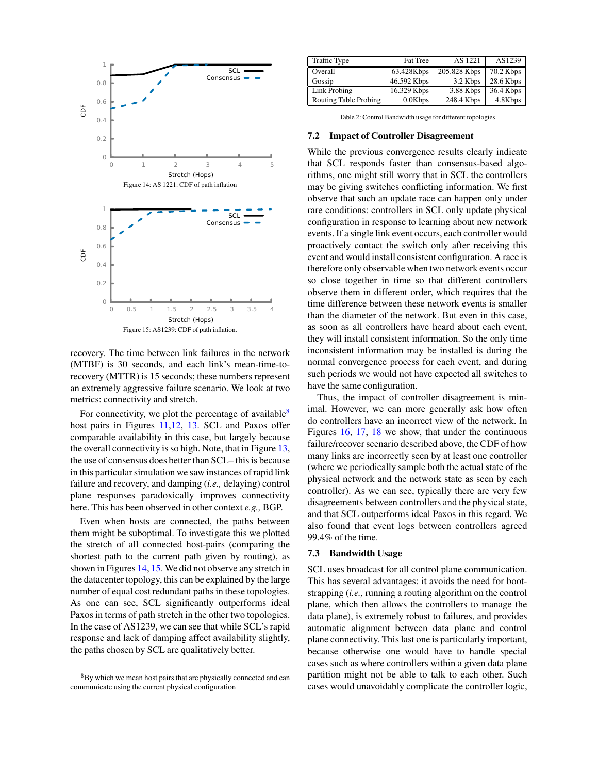<span id="page-11-2"></span><span id="page-11-1"></span>

recovery. The time between link failures in the network (MTBF) is 30 seconds, and each link's mean-time-torecovery (MTTR) is 15 seconds; these numbers represent an extremely aggressive failure scenario. We look at two metrics: connectivity and stretch.

For connectivity, we plot the percentage of available<sup>[8](#page-11-0)</sup> host pairs in Figures [11,12,](#page-10-2) [13.](#page-10-2) SCL and Paxos offer comparable availability in this case, but largely because the overall connectivity is so high. Note, that in Figure [13,](#page-10-2) the use of consensus does better than SCL– this is because in this particular simulation we saw instances of rapid link failure and recovery, and damping (*i.e.,* delaying) control plane responses paradoxically improves connectivity here. This has been observed in other context *e.g.,* BGP.

Even when hosts are connected, the paths between them might be suboptimal. To investigate this we plotted the stretch of all connected host-pairs (comparing the shortest path to the current path given by routing), as shown in Figures [14,](#page-11-1) [15.](#page-11-2) We did not observe any stretch in the datacenter topology, this can be explained by the large number of equal cost redundant paths in these topologies. As one can see, SCL significantly outperforms ideal Paxos in terms of path stretch in the other two topologies. In the case of AS1239, we can see that while SCL's rapid response and lack of damping affect availability slightly, the paths chosen by SCL are qualitatively better.

<span id="page-11-3"></span>

| <b>Traffic Type</b>          | <b>Fat Tree</b> | AS 1221      | AS1239    |
|------------------------------|-----------------|--------------|-----------|
| Overall                      | 63.428Kbps      | 205.828 Kbps | 70.2 Kbps |
| Gossip                       | 46.592 Kbps     | 3.2 Kbps     | 28.6 Kbps |
| Link Probing                 | 16.329 Kbps     | 3.88 Kbps    | 36.4 Kbps |
| <b>Routing Table Probing</b> | 0.0Kbps         | 248.4 Kbps   | 4.8Kbps   |

Table 2: Control Bandwidth usage for different topologies

#### 7.2 Impact of Controller Disagreement

While the previous convergence results clearly indicate that SCL responds faster than consensus-based algorithms, one might still worry that in SCL the controllers may be giving switches conflicting information. We first observe that such an update race can happen only under rare conditions: controllers in SCL only update physical configuration in response to learning about new network events. If a single link event occurs, each controller would proactively contact the switch only after receiving this event and would install consistent configuration. A race is therefore only observable when two network events occur so close together in time so that different controllers observe them in different order, which requires that the time difference between these network events is smaller than the diameter of the network. But even in this case, as soon as all controllers have heard about each event, they will install consistent information. So the only time inconsistent information may be installed is during the normal convergence process for each event, and during such periods we would not have expected all switches to have the same configuration.

Thus, the impact of controller disagreement is minimal. However, we can more generally ask how often do controllers have an incorrect view of the network. In Figures [16,](#page-12-1) [17,](#page-12-1) [18](#page-12-1) we show, that under the continuous failure/recover scenario described above, the CDF of how many links are incorrectly seen by at least one controller (where we periodically sample both the actual state of the physical network and the network state as seen by each controller). As we can see, typically there are very few disagreements between controllers and the physical state, and that SCL outperforms ideal Paxos in this regard. We also found that event logs between controllers agreed 99.4% of the time.

### 7.3 Bandwidth Usage

SCL uses broadcast for all control plane communication. This has several advantages: it avoids the need for bootstrapping (*i.e.,* running a routing algorithm on the control plane, which then allows the controllers to manage the data plane), is extremely robust to failures, and provides automatic alignment between data plane and control plane connectivity. This last one is particularly important, because otherwise one would have to handle special cases such as where controllers within a given data plane partition might not be able to talk to each other. Such cases would unavoidably complicate the controller logic,

<span id="page-11-0"></span><sup>8</sup>By which we mean host pairs that are physically connected and can communicate using the current physical configuration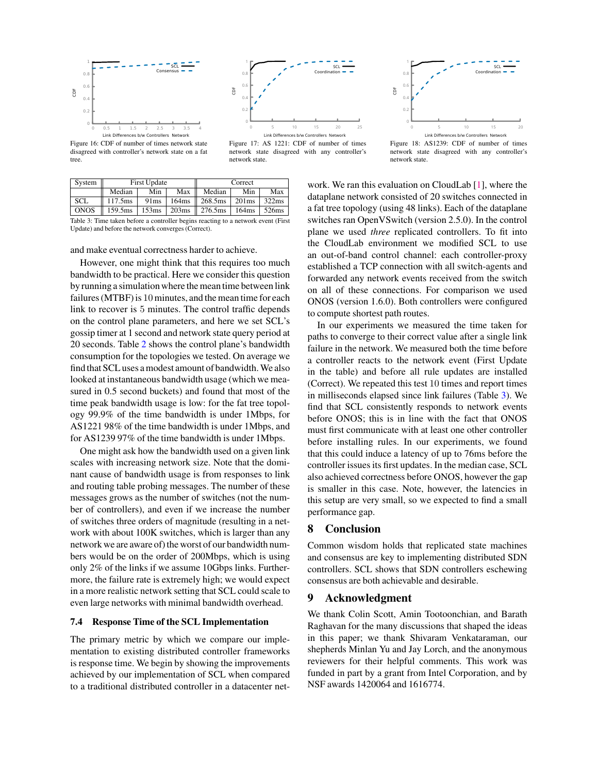<span id="page-12-1"></span>



Figure 16: CDF of number of times network state disagreed with controller's network state on a fat tree.

Figure 17: AS 1221: CDF of number of times network state disagreed with any controller's network state.



Figure 18: AS1239: CDF of number of times network state disagreed with any controller's network state.

<span id="page-12-2"></span>

| System                                                                            | <b>First Update</b> |      |     | Correct                                                                                                       |     |       |  |  |
|-----------------------------------------------------------------------------------|---------------------|------|-----|---------------------------------------------------------------------------------------------------------------|-----|-------|--|--|
|                                                                                   | Median              | Min  | Max | Median                                                                                                        | Min | Max   |  |  |
| <b>SCL</b>                                                                        | 117.5ms             | 91ms |     | $164 \text{ms}$   268.5ms   201ms                                                                             |     | 322ms |  |  |
| <b>ONOS</b>                                                                       |                     |      |     | $159.5 \text{ms}$   $153 \text{ms}$   $203 \text{ms}$   $276.5 \text{ms}$   $164 \text{ms}$   $526 \text{ms}$ |     |       |  |  |
| Table 3: Time taken before a controller begins reacting to a network event (First |                     |      |     |                                                                                                               |     |       |  |  |

Update) and before the network converges (Correct).

and make eventual correctness harder to achieve.

However, one might think that this requires too much bandwidth to be practical. Here we consider this question by running a simulation where the mean time between link failures (MTBF) is 10 minutes, and the mean time for each link to recover is 5 minutes. The control traffic depends on the control plane parameters, and here we set SCL's gossip timer at 1 second and network state query period at 20 seconds. Table [2](#page-11-3) shows the control plane's bandwidth consumption for the topologies we tested. On average we find that SCL uses a modest amount of bandwidth.We also looked at instantaneous bandwidth usage (which we measured in 0.5 second buckets) and found that most of the time peak bandwidth usage is low: for the fat tree topology 99.9% of the time bandwidth is under 1Mbps, for AS1221 98% of the time bandwidth is under 1Mbps, and for AS1239 97% of the time bandwidth is under 1Mbps.

One might ask how the bandwidth used on a given link scales with increasing network size. Note that the dominant cause of bandwidth usage is from responses to link and routing table probing messages. The number of these messages grows as the number of switches (not the number of controllers), and even if we increase the number of switches three orders of magnitude (resulting in a network with about 100K switches, which is larger than any network we are aware of) the worst of our bandwidth numbers would be on the order of 200Mbps, which is using only 2% of the links if we assume 10Gbps links. Furthermore, the failure rate is extremely high; we would expect in a more realistic network setting that SCL could scale to even large networks with minimal bandwidth overhead.

#### <span id="page-12-0"></span>7.4 Response Time of the SCL Implementation

The primary metric by which we compare our implementation to existing distributed controller frameworks is response time. We begin by showing the improvements achieved by our implementation of SCL when compared to a traditional distributed controller in a datacenter network. We ran this evaluation on CloudLab [\[1\]](#page-13-22), where the dataplane network consisted of 20 switches connected in a fat tree topology (using 48 links). Each of the dataplane switches ran OpenVSwitch (version 2.5.0). In the control plane we used *three* replicated controllers. To fit into the CloudLab environment we modified SCL to use an out-of-band control channel: each controller-proxy established a TCP connection with all switch-agents and forwarded any network events received from the switch on all of these connections. For comparison we used ONOS (version 1.6.0). Both controllers were configured to compute shortest path routes.

In our experiments we measured the time taken for paths to converge to their correct value after a single link failure in the network. We measured both the time before a controller reacts to the network event (First Update in the table) and before all rule updates are installed (Correct). We repeated this test 10 times and report times in milliseconds elapsed since link failures (Table [3\)](#page-12-2). We find that SCL consistently responds to network events before ONOS; this is in line with the fact that ONOS must first communicate with at least one other controller before installing rules. In our experiments, we found that this could induce a latency of up to 76ms before the controller issues its first updates. In the median case, SCL also achieved correctness before ONOS, however the gap is smaller in this case. Note, however, the latencies in this setup are very small, so we expected to find a small performance gap.

# 8 Conclusion

Common wisdom holds that replicated state machines and consensus are key to implementing distributed SDN controllers. SCL shows that SDN controllers eschewing consensus are both achievable and desirable.

# 9 Acknowledgment

We thank Colin Scott, Amin Tootoonchian, and Barath Raghavan for the many discussions that shaped the ideas in this paper; we thank Shivaram Venkataraman, our shepherds Minlan Yu and Jay Lorch, and the anonymous reviewers for their helpful comments. This work was funded in part by a grant from Intel Corporation, and by NSF awards 1420064 and 1616774.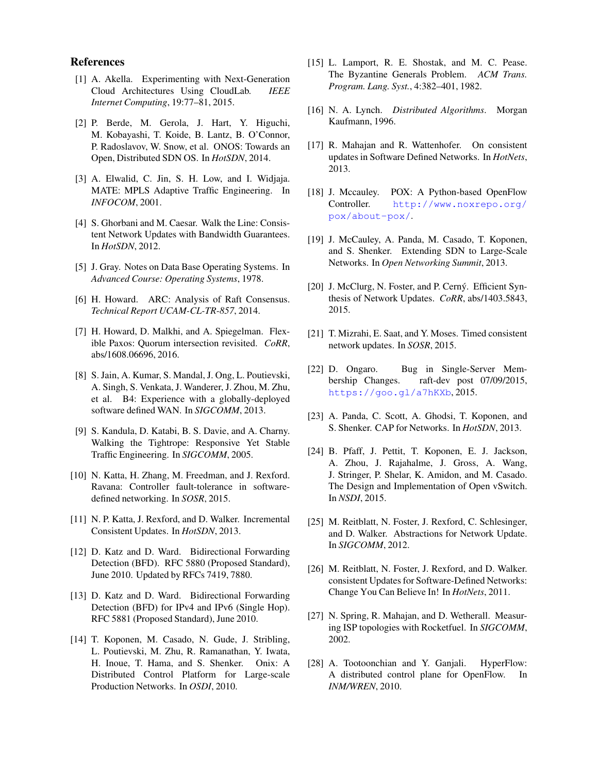# References

- <span id="page-13-22"></span>[1] A. Akella. Experimenting with Next-Generation Cloud Architectures Using CloudLab. *IEEE Internet Computing*, 19:77–81, 2015.
- <span id="page-13-1"></span>[2] P. Berde, M. Gerola, J. Hart, Y. Higuchi, M. Kobayashi, T. Koide, B. Lantz, B. O'Connor, P. Radoslavov, W. Snow, et al. ONOS: Towards an Open, Distributed SDN OS. In *HotSDN*, 2014.
- <span id="page-13-19"></span>[3] A. Elwalid, C. Jin, S. H. Low, and I. Widjaja. MATE: MPLS Adaptive Traffic Engineering. In *INFOCOM*, 2001.
- <span id="page-13-24"></span>[4] S. Ghorbani and M. Caesar. Walk the Line: Consistent Network Updates with Bandwidth Guarantees. In *HotSDN*, 2012.
- <span id="page-13-25"></span>[5] J. Gray. Notes on Data Base Operating Systems. In *Advanced Course: Operating Systems*, 1978.
- <span id="page-13-3"></span>[6] H. Howard. ARC: Analysis of Raft Consensus. *Technical Report UCAM-CL-TR-857*, 2014.
- <span id="page-13-13"></span>[7] H. Howard, D. Malkhi, and A. Spiegelman. Flexible Paxos: Quorum intersection revisited. *CoRR*, abs/1608.06696, 2016.
- <span id="page-13-26"></span>[8] S. Jain, A. Kumar, S. Mandal, J. Ong, L. Poutievski, A. Singh, S. Venkata, J. Wanderer, J. Zhou, M. Zhu, et al. B4: Experience with a globally-deployed software defined WAN. In *SIGCOMM*, 2013.
- <span id="page-13-27"></span>[9] S. Kandula, D. Katabi, B. S. Davie, and A. Charny. Walking the Tightrope: Responsive Yet Stable Traffic Engineering. In *SIGCOMM*, 2005.
- <span id="page-13-2"></span>[10] N. Katta, H. Zhang, M. Freedman, and J. Rexford. Ravana: Controller fault-tolerance in softwaredefined networking. In *SOSR*, 2015.
- <span id="page-13-7"></span>[11] N. P. Katta, J. Rexford, and D. Walker. Incremental Consistent Updates. In *HotSDN*, 2013.
- <span id="page-13-15"></span>[12] D. Katz and D. Ward. Bidirectional Forwarding Detection (BFD). RFC 5880 (Proposed Standard), June 2010. Updated by RFCs 7419, 7880.
- <span id="page-13-16"></span>[13] D. Katz and D. Ward. Bidirectional Forwarding Detection (BFD) for IPv4 and IPv6 (Single Hop). RFC 5881 (Proposed Standard), June 2010.
- <span id="page-13-0"></span>[14] T. Koponen, M. Casado, N. Gude, J. Stribling, L. Poutievski, M. Zhu, R. Ramanathan, Y. Iwata, H. Inoue, T. Hama, and S. Shenker. Onix: A Distributed Control Platform for Large-scale Production Networks. In *OSDI*, 2010.
- <span id="page-13-14"></span>[15] L. Lamport, R. E. Shostak, and M. C. Pease. The Byzantine Generals Problem. *ACM Trans. Program. Lang. Syst.*, 4:382–401, 1982.
- <span id="page-13-17"></span>[16] N. A. Lynch. *Distributed Algorithms*. Morgan Kaufmann, 1996.
- <span id="page-13-8"></span>[17] R. Mahajan and R. Wattenhofer. On consistent updates in Software Defined Networks. In *HotNets*, 2013.
- <span id="page-13-20"></span>[18] J. Mccauley. POX: A Python-based OpenFlow Controller. [http://www.noxrepo.org/](http://www.noxrepo.org/pox/about-pox/) [pox/about-pox/](http://www.noxrepo.org/pox/about-pox/).
- <span id="page-13-5"></span>[19] J. McCauley, A. Panda, M. Casado, T. Koponen, and S. Shenker. Extending SDN to Large-Scale Networks. In *Open Networking Summit*, 2013.
- <span id="page-13-9"></span>[20] J. McClurg, N. Foster, and P. Cerný. Efficient Synthesis of Network Updates. *CoRR*, abs/1403.5843, 2015.
- <span id="page-13-10"></span>[21] T. Mizrahi, E. Saat, and Y. Moses. Timed consistent network updates. In *SOSR*, 2015.
- <span id="page-13-4"></span>[22] D. Ongaro. Bug in Single-Server Membership Changes. raft-dev post 07/09/2015, <https://goo.gl/a7hKXb>, 2015.
- <span id="page-13-18"></span>[23] A. Panda, C. Scott, A. Ghodsi, T. Koponen, and S. Shenker. CAP for Networks. In *HotSDN*, 2013.
- <span id="page-13-21"></span>[24] B. Pfaff, J. Pettit, T. Koponen, E. J. Jackson, A. Zhou, J. Rajahalme, J. Gross, A. Wang, J. Stringer, P. Shelar, K. Amidon, and M. Casado. The Design and Implementation of Open vSwitch. In *NSDI*, 2015.
- <span id="page-13-11"></span>[25] M. Reitblatt, N. Foster, J. Rexford, C. Schlesinger, and D. Walker. Abstractions for Network Update. In *SIGCOMM*, 2012.
- <span id="page-13-12"></span>[26] M. Reitblatt, N. Foster, J. Rexford, and D. Walker. consistent Updates for Software-Defined Networks: Change You Can Believe In! In *HotNets*, 2011.
- <span id="page-13-23"></span>[27] N. Spring, R. Mahajan, and D. Wetherall. Measuring ISP topologies with Rocketfuel. In *SIGCOMM*, 2002.
- <span id="page-13-6"></span>[28] A. Tootoonchian and Y. Ganjali. HyperFlow: A distributed control plane for OpenFlow. In *INM/WREN*, 2010.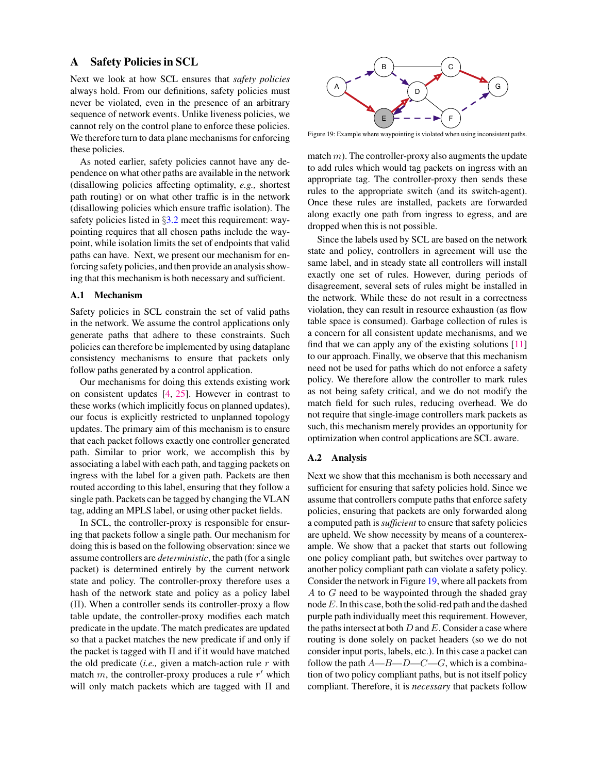# <span id="page-14-0"></span>A Safety Policies in SCL

Next we look at how SCL ensures that *safety policies* always hold. From our definitions, safety policies must never be violated, even in the presence of an arbitrary sequence of network events. Unlike liveness policies, we cannot rely on the control plane to enforce these policies. We therefore turn to data plane mechanisms for enforcing these policies.

As noted earlier, safety policies cannot have any dependence on what other paths are available in the network (disallowing policies affecting optimality, *e.g.,* shortest path routing) or on what other traffic is in the network (disallowing policies which ensure traffic isolation). The safety policies listed in §[3.2](#page-3-0) meet this requirement: waypointing requires that all chosen paths include the waypoint, while isolation limits the set of endpoints that valid paths can have. Next, we present our mechanism for enforcing safety policies, and then provide an analysis showing that this mechanism is both necessary and sufficient.

### A.1 Mechanism

Safety policies in SCL constrain the set of valid paths in the network. We assume the control applications only generate paths that adhere to these constraints. Such policies can therefore be implemented by using dataplane consistency mechanisms to ensure that packets only follow paths generated by a control application.

Our mechanisms for doing this extends existing work on consistent updates [\[4,](#page-13-24) [25\]](#page-13-11). However in contrast to these works (which implicitly focus on planned updates), our focus is explicitly restricted to unplanned topology updates. The primary aim of this mechanism is to ensure that each packet follows exactly one controller generated path. Similar to prior work, we accomplish this by associating a label with each path, and tagging packets on ingress with the label for a given path. Packets are then routed according to this label, ensuring that they follow a single path. Packets can be tagged by changing the VLAN tag, adding an MPLS label, or using other packet fields.

In SCL, the controller-proxy is responsible for ensuring that packets follow a single path. Our mechanism for doing this is based on the following observation: since we assume controllers are *deterministic*, the path (for a single packet) is determined entirely by the current network state and policy. The controller-proxy therefore uses a hash of the network state and policy as a policy label (Π). When a controller sends its controller-proxy a flow table update, the controller-proxy modifies each match predicate in the update. The match predicates are updated so that a packet matches the new predicate if and only if the packet is tagged with  $\Pi$  and if it would have matched the old predicate (*i.e.,* given a match-action rule r with match m, the controller-proxy produces a rule  $r'$  which always hold. From our definitions, safety policies must be a method to the network events. Unlike liveness policies, we never be violated, even in the presence of nathitary sequence of network events. Unlike liveness poli

<span id="page-14-1"></span>

Figure 19: Example where waypointing is violated when using inconsistent paths.

match  $m$ ). The controller-proxy also augments the update to add rules which would tag packets on ingress with an appropriate tag. The controller-proxy then sends these rules to the appropriate switch (and its switch-agent). Once these rules are installed, packets are forwarded along exactly one path from ingress to egress, and are dropped when this is not possible.

Since the labels used by SCL are based on the network state and policy, controllers in agreement will use the same label, and in steady state all controllers will install exactly one set of rules. However, during periods of disagreement, several sets of rules might be installed in the network. While these do not result in a correctness violation, they can result in resource exhaustion (as flow table space is consumed). Garbage collection of rules is a concern for all consistent update mechanisms, and we find that we can apply any of the existing solutions [\[11\]](#page-13-7) to our approach. Finally, we observe that this mechanism need not be used for paths which do not enforce a safety policy. We therefore allow the controller to mark rules as not being safety critical, and we do not modify the match field for such rules, reducing overhead. We do not require that single-image controllers mark packets as such, this mechanism merely provides an opportunity for optimization when control applications are SCL aware.

#### A.2 Analysis

Next we show that this mechanism is both necessary and sufficient for ensuring that safety policies hold. Since we assume that controllers compute paths that enforce safety policies, ensuring that packets are only forwarded along a computed path is *sufficient* to ensure that safety policies are upheld. We show necessity by means of a counterexample. We show that a packet that starts out following one policy compliant path, but switches over partway to another policy compliant path can violate a safety policy. Consider the network in Figure [19,](#page-14-1) where all packets from A to G need to be waypointed through the shaded gray node E. In this case, both the solid-red path and the dashed purple path individually meet this requirement. However, the paths intersect at both  $D$  and  $E$ . Consider a case where routing is done solely on packet headers (so we do not consider input ports, labels, etc.). In this case a packet can follow the path  $A$ — $B$ — $D$ — $C$ — $G$ , which is a combination of two policy compliant paths, but is not itself policy compliant. Therefore, it is *necessary* that packets follow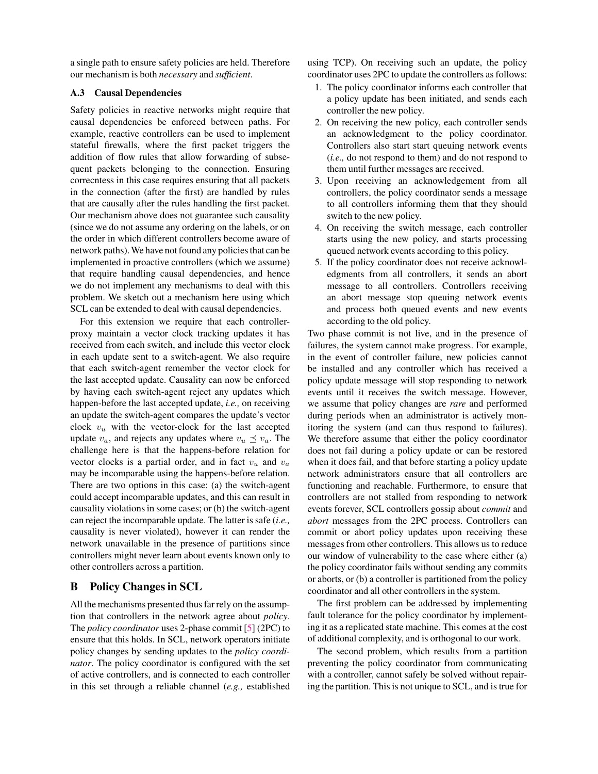a single path to ensure safety policies are held. Therefore our mechanism is both *necessary* and *sufficient*.

### A.3 Causal Dependencies

Safety policies in reactive networks might require that causal dependencies be enforced between paths. For example, reactive controllers can be used to implement stateful firewalls, where the first packet triggers the addition of flow rules that allow forwarding of subsequent packets belonging to the connection. Ensuring correcntess in this case requires ensuring that all packets in the connection (after the first) are handled by rules that are causally after the rules handling the first packet. Our mechanism above does not guarantee such causality (since we do not assume any ordering on the labels, or on the order in which different controllers become aware of network paths).We have not found any policies that can be implemented in proactive controllers (which we assume) that require handling causal dependencies, and hence we do not implement any mechanisms to deal with this problem. We sketch out a mechanism here using which SCL can be extended to deal with causal dependencies.

For this extension we require that each controllerproxy maintain a vector clock tracking updates it has received from each switch, and include this vector clock in each update sent to a switch-agent. We also require that each switch-agent remember the vector clock for the last accepted update. Causality can now be enforced by having each switch-agent reject any updates which happen-before the last accepted update, *i.e.,* on receiving an update the switch-agent compares the update's vector clock  $v_u$  with the vector-clock for the last accepted update  $v_a$ , and rejects any updates where  $v_u \preceq v_a$ . The challenge here is that the happens-before relation for vector clocks is a partial order, and in fact  $v_u$  and  $v_a$ may be incomparable using the happens-before relation. There are two options in this case: (a) the switch-agent could accept incomparable updates, and this can result in causality violations in some cases; or (b) the switch-agent can reject the incomparable update. The latter is safe (*i.e.,* causality is never violated), however it can render the network unavailable in the presence of partitions since controllers might never learn about events known only to other controllers across a partition.

# <span id="page-15-0"></span>B Policy Changes in SCL

All the mechanisms presented thus far rely on the assumption that controllers in the network agree about *policy*. The *policy coordinator* uses 2-phase commit [\[5\]](#page-13-25) (2PC) to ensure that this holds. In SCL, network operators initiate policy changes by sending updates to the *policy coordinator*. The policy coordinator is configured with the set of active controllers, and is connected to each controller in this set through a reliable channel (*e.g.,* established using TCP). On receiving such an update, the policy coordinator uses 2PC to update the controllers as follows:

- 1. The policy coordinator informs each controller that a policy update has been initiated, and sends each controller the new policy.
- 2. On receiving the new policy, each controller sends an acknowledgment to the policy coordinator. Controllers also start start queuing network events (*i.e.,* do not respond to them) and do not respond to them until further messages are received.
- 3. Upon receiving an acknowledgement from all controllers, the policy coordinator sends a message to all controllers informing them that they should switch to the new policy.
- 4. On receiving the switch message, each controller starts using the new policy, and starts processing queued network events according to this policy.
- 5. If the policy coordinator does not receive acknowledgments from all controllers, it sends an abort message to all controllers. Controllers receiving an abort message stop queuing network events and process both queued events and new events according to the old policy.

Two phase commit is not live, and in the presence of failures, the system cannot make progress. For example, in the event of controller failure, new policies cannot be installed and any controller which has received a policy update message will stop responding to network events until it receives the switch message. However, we assume that policy changes are *rare* and performed during periods when an administrator is actively monitoring the system (and can thus respond to failures). We therefore assume that either the policy coordinator does not fail during a policy update or can be restored when it does fail, and that before starting a policy update network administrators ensure that all controllers are functioning and reachable. Furthermore, to ensure that controllers are not stalled from responding to network events forever, SCL controllers gossip about *commit* and *abort* messages from the 2PC process. Controllers can commit or abort policy updates upon receiving these messages from other controllers. This allows us to reduce our window of vulnerability to the case where either (a) the policy coordinator fails without sending any commits or aborts, or (b) a controller is partitioned from the policy coordinator and all other controllers in the system.

The first problem can be addressed by implementing fault tolerance for the policy coordinator by implementing it as a replicated state machine. This comes at the cost of additional complexity, and is orthogonal to our work.

The second problem, which results from a partition preventing the policy coordinator from communicating with a controller, cannot safely be solved without repairing the partition. This is not unique to SCL, and is true for